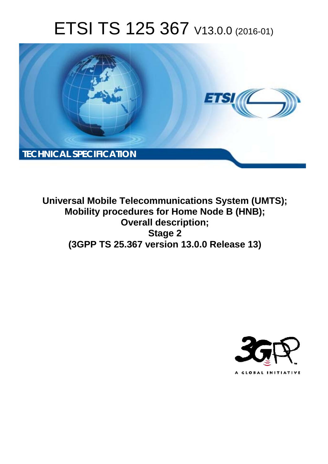# ETSI TS 125 367 V13.0.0 (2016-01)



**Universal Mobile Tel elecommunications System ( (UMTS); Mobility procedures for Home Node B (HNB); Ov Overall description; (3GPP TS 25.3 .367 version 13.0.0 Release 13 13) Stage 2** 

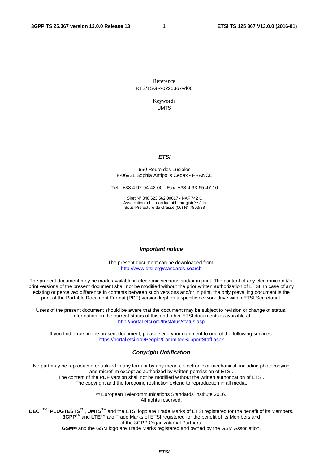Reference RTS/TSGR-0225367vd00

> Keywords UMTS

#### *ETSI*

#### 650 Route des Lucioles F-06921 Sophia Antipolis Cedex - FRANCE

Tel.: +33 4 92 94 42 00 Fax: +33 4 93 65 47 16

Siret N° 348 623 562 00017 - NAF 742 C Association à but non lucratif enregistrée à la Sous-Préfecture de Grasse (06) N° 7803/88

#### *Important notice*

The present document can be downloaded from: <http://www.etsi.org/standards-search>

The present document may be made available in electronic versions and/or in print. The content of any electronic and/or print versions of the present document shall not be modified without the prior written authorization of ETSI. In case of any existing or perceived difference in contents between such versions and/or in print, the only prevailing document is the print of the Portable Document Format (PDF) version kept on a specific network drive within ETSI Secretariat.

Users of the present document should be aware that the document may be subject to revision or change of status. Information on the current status of this and other ETSI documents is available at <http://portal.etsi.org/tb/status/status.asp>

If you find errors in the present document, please send your comment to one of the following services: <https://portal.etsi.org/People/CommiteeSupportStaff.aspx>

#### *Copyright Notification*

No part may be reproduced or utilized in any form or by any means, electronic or mechanical, including photocopying and microfilm except as authorized by written permission of ETSI.

The content of the PDF version shall not be modified without the written authorization of ETSI. The copyright and the foregoing restriction extend to reproduction in all media.

> © European Telecommunications Standards Institute 2016. All rights reserved.

**DECT**TM, **PLUGTESTS**TM, **UMTS**TM and the ETSI logo are Trade Marks of ETSI registered for the benefit of its Members. **3GPP**TM and **LTE**™ are Trade Marks of ETSI registered for the benefit of its Members and of the 3GPP Organizational Partners.

**GSM**® and the GSM logo are Trade Marks registered and owned by the GSM Association.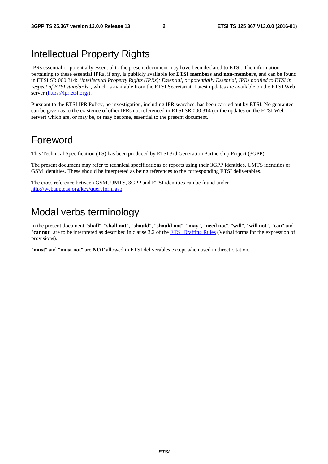### Intellectual Property Rights

IPRs essential or potentially essential to the present document may have been declared to ETSI. The information pertaining to these essential IPRs, if any, is publicly available for **ETSI members and non-members**, and can be found in ETSI SR 000 314: *"Intellectual Property Rights (IPRs); Essential, or potentially Essential, IPRs notified to ETSI in respect of ETSI standards"*, which is available from the ETSI Secretariat. Latest updates are available on the ETSI Web server [\(https://ipr.etsi.org/](https://ipr.etsi.org/)).

Pursuant to the ETSI IPR Policy, no investigation, including IPR searches, has been carried out by ETSI. No guarantee can be given as to the existence of other IPRs not referenced in ETSI SR 000 314 (or the updates on the ETSI Web server) which are, or may be, or may become, essential to the present document.

### Foreword

This Technical Specification (TS) has been produced by ETSI 3rd Generation Partnership Project (3GPP).

The present document may refer to technical specifications or reports using their 3GPP identities, UMTS identities or GSM identities. These should be interpreted as being references to the corresponding ETSI deliverables.

The cross reference between GSM, UMTS, 3GPP and ETSI identities can be found under [http://webapp.etsi.org/key/queryform.asp.](http://webapp.etsi.org/key/queryform.asp)

### Modal verbs terminology

In the present document "**shall**", "**shall not**", "**should**", "**should not**", "**may**", "**need not**", "**will**", "**will not**", "**can**" and "**cannot**" are to be interpreted as described in clause 3.2 of the [ETSI Drafting Rules](http://portal.etsi.org/Help/editHelp!/Howtostart/ETSIDraftingRules.aspx) (Verbal forms for the expression of provisions).

"**must**" and "**must not**" are **NOT** allowed in ETSI deliverables except when used in direct citation.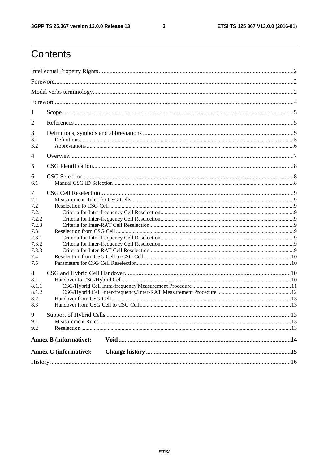$\mathbf{3}$ 

# Contents

| 1              |                               |  |  |  |  |  |
|----------------|-------------------------------|--|--|--|--|--|
| 2              |                               |  |  |  |  |  |
|                |                               |  |  |  |  |  |
| 3<br>3.1       |                               |  |  |  |  |  |
| 3.2            |                               |  |  |  |  |  |
| 4              |                               |  |  |  |  |  |
| 5              |                               |  |  |  |  |  |
| 6              |                               |  |  |  |  |  |
| 6.1            |                               |  |  |  |  |  |
| 7              |                               |  |  |  |  |  |
| 7.1            |                               |  |  |  |  |  |
| 7.2            |                               |  |  |  |  |  |
| 7.2.1          |                               |  |  |  |  |  |
| 7.2.2          |                               |  |  |  |  |  |
| 7.2.3          |                               |  |  |  |  |  |
| 7.3            |                               |  |  |  |  |  |
| 7.3.1          |                               |  |  |  |  |  |
| 7.3.2<br>7.3.3 |                               |  |  |  |  |  |
| 7.4            |                               |  |  |  |  |  |
| 7.5            |                               |  |  |  |  |  |
|                |                               |  |  |  |  |  |
| 8              |                               |  |  |  |  |  |
| 8.1            |                               |  |  |  |  |  |
| 8.1.1<br>8.1.2 |                               |  |  |  |  |  |
| 8.2            |                               |  |  |  |  |  |
| 8.3            |                               |  |  |  |  |  |
|                |                               |  |  |  |  |  |
|                |                               |  |  |  |  |  |
| 9.1            |                               |  |  |  |  |  |
| 9.2            |                               |  |  |  |  |  |
|                | <b>Annex B</b> (informative): |  |  |  |  |  |
|                | <b>Annex C</b> (informative): |  |  |  |  |  |
|                |                               |  |  |  |  |  |
|                |                               |  |  |  |  |  |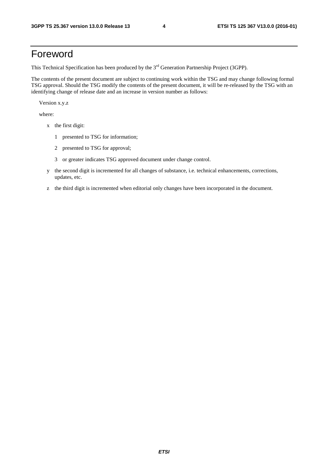### Foreword

This Technical Specification has been produced by the 3<sup>rd</sup> Generation Partnership Project (3GPP).

The contents of the present document are subject to continuing work within the TSG and may change following formal TSG approval. Should the TSG modify the contents of the present document, it will be re-released by the TSG with an identifying change of release date and an increase in version number as follows:

Version x.y.z

where:

- x the first digit:
	- 1 presented to TSG for information;
	- 2 presented to TSG for approval;
	- 3 or greater indicates TSG approved document under change control.
- y the second digit is incremented for all changes of substance, i.e. technical enhancements, corrections, updates, etc.
- z the third digit is incremented when editorial only changes have been incorporated in the document.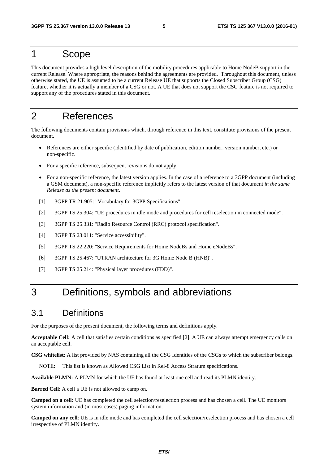### 1 Scope

This document provides a high level description of the mobility procedures applicable to Home NodeB support in the current Release. Where appropriate, the reasons behind the agreements are provided. Throughout this document, unless otherwise stated, the UE is assumed to be a current Release UE that supports the Closed Subscriber Group (CSG) feature, whether it is actually a member of a CSG or not. A UE that does not support the CSG feature is not required to support any of the procedures stated in this document.

### 2 References

The following documents contain provisions which, through reference in this text, constitute provisions of the present document.

- References are either specific (identified by date of publication, edition number, version number, etc.) or non-specific.
- For a specific reference, subsequent revisions do not apply.
- For a non-specific reference, the latest version applies. In the case of a reference to a 3GPP document (including a GSM document), a non-specific reference implicitly refers to the latest version of that document *in the same Release as the present document*.
- [1] 3GPP TR 21.905: "Vocabulary for 3GPP Specifications".
- [2] 3GPP TS 25.304: "UE procedures in idle mode and procedures for cell reselection in connected mode".
- [3] 3GPP TS 25.331: "Radio Resource Control (RRC) protocol specification".
- [4] 3GPP TS 23.011: "Service accessibility".
- [5] 3GPP TS 22.220: "Service Requirements for Home NodeBs and Home eNodeBs".
- [6] 3GPP TS 25.467: "UTRAN architecture for 3G Home Node B (HNB)".
- [7] 3GPP TS 25.214: "Physical layer procedures (FDD)".

### 3 Definitions, symbols and abbreviations

#### 3.1 Definitions

For the purposes of the present document, the following terms and definitions apply.

**Acceptable Cell:** A cell that satisfies certain conditions as specified [2]. A UE can always attempt emergency calls on an acceptable cell.

**CSG whitelist**: A list provided by NAS containing all the CSG Identities of the CSGs to which the subscriber belongs.

NOTE: This list is known as Allowed CSG List in Rel-8 Access Stratum specifications.

**Available PLMN:** A PLMN for which the UE has found at least one cell and read its PLMN identity.

**Barred Cell**: A cell a UE is not allowed to camp on.

**Camped on a cell:** UE has completed the cell selection/reselection process and has chosen a cell. The UE monitors system information and (in most cases) paging information.

**Camped on any cell**: UE is in idle mode and has completed the cell selection/reselection process and has chosen a cell irrespective of PLMN identity.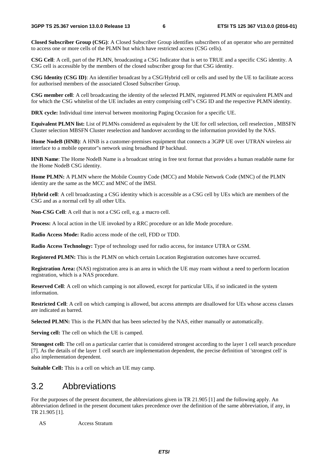**Closed Subscriber Group (CSG)**: A Closed Subscriber Group identifies subscribers of an operator who are permitted to access one or more cells of the PLMN but which have restricted access (CSG cells).

**CSG Cell**: A cell, part of the PLMN, broadcasting a CSG Indicator that is set to TRUE and a specific CSG identity. A CSG cell is accessible by the members of the closed subscriber group for that CSG identity.

**CSG Identity (CSG ID)**: An identifier broadcast by a CSG/Hybrid cell or cells and used by the UE to facilitate access for authorised members of the associated Closed Subscriber Group.

**CSG member cell**: A cell broadcasting the identity of the selected PLMN, registered PLMN or equivalent PLMN and for which the CSG whitelist of the UE includes an entry comprising cell"s CSG ID and the respective PLMN identity.

**DRX cycle:** Individual time interval between monitoring Paging Occasion for a specific UE.

**Equivalent PLMN list:** List of PLMNs considered as equivalent by the UE for cell selection, cell reselection , MBSFN Cluster selection MBSFN Cluster reselection and handover according to the information provided by the NAS.

**Home NodeB (HNB)**: A HNB is a customer-premises equipment that connects a 3GPP UE over UTRAN wireless air interface to a mobile operator"s network using broadband IP backhaul.

**HNB Name**: The Home NodeB Name is a broadcast string in free text format that provides a human readable name for the Home NodeB CSG identity.

**Home PLMN:** A PLMN where the Mobile Country Code (MCC) and Mobile Network Code (MNC) of the PLMN identity are the same as the MCC and MNC of the IMSI.

**Hybrid cell**: A cell broadcasting a CSG identity which is accessible as a CSG cell by UEs which are members of the CSG and as a normal cell by all other UEs.

**Non-CSG Cell**: A cell that is not a CSG cell, e.g. a macro cell.

**Process:** A local action in the UE invoked by a RRC procedure or an Idle Mode procedure.

**Radio Access Mode:** Radio access mode of the cell, FDD or TDD.

**Radio Access Technology:** Type of technology used for radio access, for instance UTRA or GSM.

**Registered PLMN:** This is the PLMN on which certain Location Registration outcomes have occurred.

**Registration Area:** (NAS) registration area is an area in which the UE may roam without a need to perform location registration, which is a NAS procedure.

**Reserved Cell**: A cell on which camping is not allowed, except for particular UEs, if so indicated in the system information.

**Restricted Cell**: A cell on which camping is allowed, but access attempts are disallowed for UEs whose access classes are indicated as barred.

**Selected PLMN:** This is the PLMN that has been selected by the NAS, either manually or automatically.

**Serving cell:** The cell on which the UE is camped.

**Strongest cell:** The cell on a particular carrier that is considered strongest according to the layer 1 cell search procedure [7]. As the details of the layer 1 cell search are implementation dependent, the precise definition of 'strongest cell' is also implementation dependent.

**Suitable Cell:** This is a cell on which an UE may camp.

#### 3.2 Abbreviations

For the purposes of the present document, the abbreviations given in TR 21.905 [1] and the following apply. An abbreviation defined in the present document takes precedence over the definition of the same abbreviation, if any, in TR 21.905 [1].

AS Access Stratum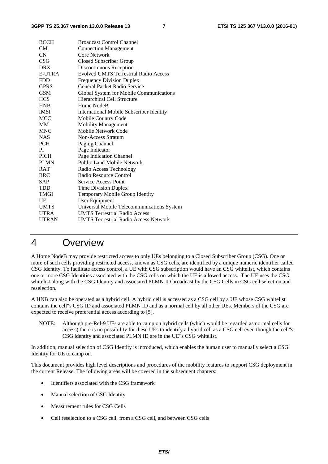| <b>BCCH</b>   | <b>Broadcast Control Channel</b>             |
|---------------|----------------------------------------------|
| <b>CM</b>     | <b>Connection Management</b>                 |
| CN            | Core Network                                 |
| CSG           | Closed Subscriber Group                      |
| <b>DRX</b>    | Discontinuous Reception                      |
| <b>E-UTRA</b> | <b>Evolved UMTS Terrestrial Radio Access</b> |
| <b>FDD</b>    | <b>Frequency Division Duplex</b>             |
| <b>GPRS</b>   | General Packet Radio Service                 |
| <b>GSM</b>    | Global System for Mobile Communications      |
| <b>HCS</b>    | Hierarchical Cell Structure                  |
| <b>HNB</b>    | Home NodeB                                   |
| <b>IMSI</b>   | International Mobile Subscriber Identity     |
| <b>MCC</b>    | Mobile Country Code                          |
| <b>MM</b>     | <b>Mobility Management</b>                   |
| <b>MNC</b>    | Mobile Network Code                          |
| <b>NAS</b>    | Non-Access Stratum                           |
| <b>PCH</b>    | Paging Channel                               |
| PI            | Page Indicator                               |
| <b>PICH</b>   | Page Indication Channel                      |
| <b>PLMN</b>   | <b>Public Land Mobile Network</b>            |
| <b>RAT</b>    | Radio Access Technology                      |
| <b>RRC</b>    | Radio Resource Control                       |
| <b>SAP</b>    | Service Access Point                         |
| <b>TDD</b>    | Time Division Duplex                         |
| TMGI          | Temporary Mobile Group Identity              |
| UE            | <b>User Equipment</b>                        |
| <b>UMTS</b>   | Universal Mobile Telecommunications System   |
| <b>UTRA</b>   | <b>UMTS Terrestrial Radio Access</b>         |
| <b>UTRAN</b>  | <b>UMTS Terrestrial Radio Access Network</b> |

### 4 Overview

A Home NodeB may provide restricted access to only UEs belonging to a Closed Subscriber Group (CSG). One or more of such cells providing restricted access, known as CSG cells, are identified by a unique numeric identifier called CSG Identity. To facilitate access control, a UE with CSG subscription would have an CSG whitelist, which contains one or more CSG Identities associated with the CSG cells on which the UE is allowed access. The UE uses the CSG whitelist along with the CSG Identity and associated PLMN ID broadcast by the CSG Cells in CSG cell selection and reselection.

A HNB can also be operated as a hybrid cell. A hybrid cell is accessed as a CSG cell by a UE whose CSG whitelist contains the cell"s CSG ID and associated PLMN ID and as a normal cell by all other UEs. Members of the CSG are expected to receive preferential access according to [5].

NOTE: Although pre-Rel-9 UEs are able to camp on hybrid cells (which would be regarded as normal cells for access) there is no possibility for these UEs to identify a hybrid cell as a CSG cell even though the cell"s CSG identity and associated PLMN ID are in the UE"s CSG whitelist.

In addition, manual selection of CSG Identity is introduced, which enables the human user to manually select a CSG Identity for UE to camp on.

This document provides high level descriptions and procedures of the mobility features to support CSG deployment in the current Release. The following areas will be covered in the subsequent chapters:

- Identifiers associated with the CSG framework
- Manual selection of CSG Identity
- Measurement rules for CSG Cells
- Cell reselection to a CSG cell, from a CSG cell, and between CSG cells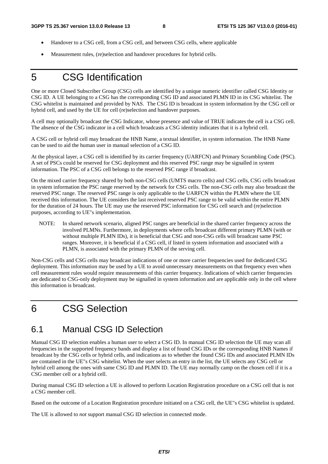- Handover to a CSG cell, from a CSG cell, and between CSG cells, where applicable
- Measurement rules, (re)selection and handover procedures for hybrid cells.

### 5 CSG Identification

One or more Closed Subscriber Group (CSG) cells are identified by a unique numeric identifier called CSG Identity or CSG ID. A UE belonging to a CSG has the corresponding CSG ID and associated PLMN ID in its CSG whitelist. The CSG whitelist is maintained and provided by NAS. The CSG ID is broadcast in system information by the CSG cell or hybrid cell, and used by the UE for cell (re)selection and handover purposes.

A cell may optionally broadcast the CSG Indicator, whose presence and value of TRUE indicates the cell is a CSG cell. The absence of the CSG indicator in a cell which broadcasts a CSG identity indicates that it is a hybrid cell.

A CSG cell or hybrid cell may broadcast the HNB Name, a textual identifier, in system information. The HNB Name can be used to aid the human user in manual selection of a CSG ID.

At the physical layer, a CSG cell is identified by its carrier frequency (UARFCN) and Primary Scrambling Code (PSC). A set of PSCs could be reserved for CSG deployment and this reserved PSC range may be signalled in system information. The PSC of a CSG cell belongs to the reserved PSC range if broadcast.

On the mixed carrier frequency shared by both non-CSG cells (UMTS macro cells) and CSG cells, CSG cells broadcast in system information the PSC range reserved by the network for CSG cells. The non-CSG cells may also broadcast the reserved PSC range. The reserved PSC range is only applicable to the UARFCN within the PLMN where the UE received this information. The UE considers the last received reserved PSC range to be valid within the entire PLMN for the duration of 24 hours. The UE may use the reserved PSC information for CSG cell search and (re)selection purposes, according to UE"s implementation.

NOTE: In shared network scenario, aligned PSC ranges are beneficial in the shared carrier frequency across the involved PLMNs. Furthermore, in deployments where cells broadcast different primary PLMN (with or without multiple PLMN IDs), it is beneficial that CSG and non-CSG cells will broadcast same PSC ranges. Moreover, it is beneficial if a CSG cell, if listed in system information and associated with a PLMN, is associated with the primary PLMN of the serving cell.

Non-CSG cells and CSG cells may broadcast indications of one or more carrier frequencies used for dedicated CSG deployment. This information may be used by a UE to avoid unnecessary measurements on that frequency even when cell measurement rules would require measurements of this carrier frequency. Indications of which carrier frequencies are dedicated to CSG-only deployment may be signalled in system information and are applicable only in the cell where this information is broadcast.

### 6 CSG Selection

#### 6.1 Manual CSG ID Selection

Manual CSG ID selection enables a human user to select a CSG ID. In manual CSG ID selection the UE may scan all frequencies in the supported frequency bands and display a list of found CSG IDs or the corresponding HNB Names if broadcast by the CSG cells or hybrid cells, and indications as to whether the found CSG IDs and associated PLMN IDs are contained in the UE"s CSG whitelist. When the user selects an entry in the list, the UE selects any CSG cell or hybrid cell among the ones with same CSG ID and PLMN ID. The UE may normally camp on the chosen cell if it is a CSG member cell or a hybrid cell.

During manual CSG ID selection a UE is allowed to perform Location Registration procedure on a CSG cell that is not a CSG member cell.

Based on the outcome of a Location Registration procedure initiated on a CSG cell, the UE"s CSG whitelist is updated.

The UE is allowed to *not* support manual CSG ID selection in connected mode.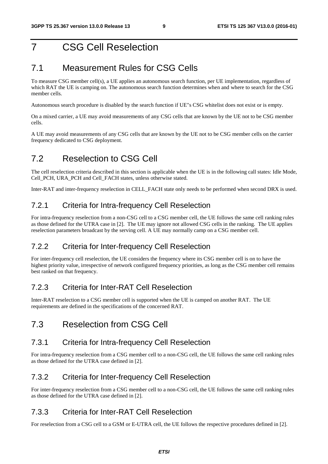### 7 CSG Cell Reselection

#### 7.1 Measurement Rules for CSG Cells

To measure CSG member cell(s), a UE applies an autonomous search function, per UE implementation, regardless of which RAT the UE is camping on. The autonomous search function determines when and where to search for the CSG member cells.

Autonomous search procedure is disabled by the search function if UE"s CSG whitelist does not exist or is empty.

On a mixed carrier, a UE may avoid measurements of any CSG cells that are known by the UE not to be CSG member cells.

A UE may avoid measurements of any CSG cells that are known by the UE not to be CSG member cells on the carrier frequency dedicated to CSG deployment.

### 7.2 Reselection to CSG Cell

The cell reselection criteria described in this section is applicable when the UE is in the following call states: Idle Mode, Cell\_PCH, URA\_PCH and Cell\_FACH states, unless otherwise stated.

Inter-RAT and inter-frequency reselection in CELL\_FACH state only needs to be performed when second DRX is used.

#### 7.2.1 Criteria for Intra-frequency Cell Reselection

For intra-frequency reselection from a non-CSG cell to a CSG member cell, the UE follows the same cell ranking rules as those defined for the UTRA case in [2]. The UE may ignore not allowed CSG cells in the ranking. The UE applies reselection parameters broadcast by the serving cell. A UE may normally camp on a CSG member cell.

#### 7.2.2 Criteria for Inter-frequency Cell Reselection

For inter-frequency cell reselection, the UE considers the frequency where its CSG member cell is on to have the highest priority value, irrespective of network configured frequency priorities, as long as the CSG member cell remains best ranked on that frequency.

#### 7.2.3 Criteria for Inter-RAT Cell Reselection

Inter-RAT reselection to a CSG member cell is supported when the UE is camped on another RAT. The UE requirements are defined in the specifications of the concerned RAT.

#### 7.3 Reselection from CSG Cell

#### 7.3.1 Criteria for Intra-frequency Cell Reselection

For intra-frequency reselection from a CSG member cell to a non-CSG cell, the UE follows the same cell ranking rules as those defined for the UTRA case defined in [2].

#### 7.3.2 Criteria for Inter-frequency Cell Reselection

For inter-frequency reselection from a CSG member cell to a non-CSG cell, the UE follows the same cell ranking rules as those defined for the UTRA case defined in [2].

#### 7.3.3 Criteria for Inter-RAT Cell Reselection

For reselection from a CSG cell to a GSM or E-UTRA cell, the UE follows the respective procedures defined in [2].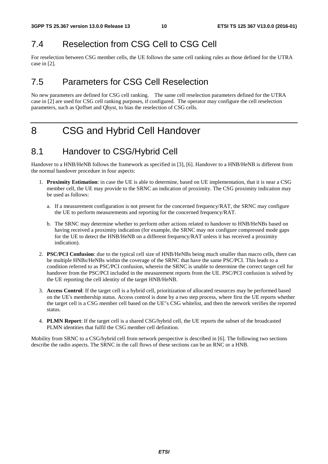### 7.4 Reselection from CSG Cell to CSG Cell

For reselection between CSG member cells, the UE follows the same cell ranking rules as those defined for the UTRA case in [2].

### 7.5 Parameters for CSG Cell Reselection

No new parameters are defined for CSG cell ranking. The same cell reselection parameters defined for the UTRA case in [2] are used for CSG cell ranking purposes, if configured. The operator may configure the cell reselection parameters, such as Qoffset and Qhyst, to bias the reselection of CSG cells.

# 8 CSG and Hybrid Cell Handover

### 8.1 Handover to CSG/Hybrid Cell

Handover to a HNB/HeNB follows the framework as specified in [3], [6]. Handover to a HNB/HeNB is different from the normal handover procedure in four aspects:

- 1. **Proximity Estimation**: in case the UE is able to determine, based on UE implementation, that it is near a CSG member cell, the UE may provide to the SRNC an indication of proximity. The CSG proximity indication may be used as follows:
	- a. If a measurement configuration is not present for the concerned frequency/RAT, the SRNC may configure the UE to perform measurements and reporting for the concerned frequency/RAT.
	- b. The SRNC may determine whether to perform other actions related to handover to HNB/HeNBs based on having received a proximity indication (for example, the SRNC may not configure compressed mode gaps for the UE to detect the HNB/HeNB on a different frequency/RAT unless it has received a proximity indication).
- 2. **PSC/PCI Confusion**: due to the typical cell size of HNB/HeNBs being much smaller than macro cells, there can be multiple HNBs/HeNBs within the coverage of the SRNC that have the same PSC/PCI. This leads to a condition referred to as PSC/PCI confusion, wherein the SRNC is unable to determine the correct target cell for handover from the PSC/PCI included in the measurement reports from the UE. PSC/PCI confusion is solved by the UE reporting the cell identity of the target HNB/HeNB.
- 3. **Access Control**: If the target cell is a hybrid cell, prioritization of allocated resources may be performed based on the UE's membership status. Access control is done by a two step process, where first the UE reports whether the target cell is a CSG member cell based on the UE"s CSG whitelist, and then the network verifies the reported status.
- 4. **PLMN Report**: If the target cell is a shared CSG/hybrid cell, the UE reports the subset of the broadcasted PLMN identities that fulfil the CSG member cell definition.

Mobility from SRNC to a CSG/hybrid cell from network perspective is described in [6]. The following two sections describe the radio aspects. The SRNC in the call flows of these sections can be an RNC or a HNB.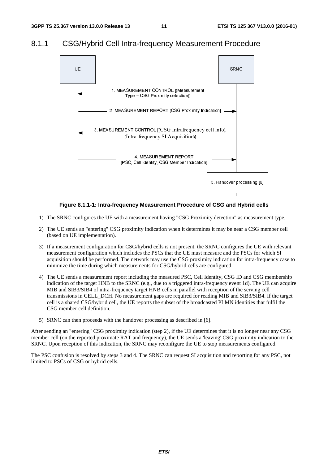#### 8.1.1 CSG/Hybrid Cell Intra-frequency Measurement Procedure



**Figure 8.1.1-1: Intra-frequency Measurement Procedure of CSG and Hybrid cells** 

- 1) The SRNC configures the UE with a measurement having "CSG Proximity detection" as measurement type.
- 2) The UE sends an "entering" CSG proximity indication when it determines it may be near a CSG member cell (based on UE implementation).
- 3) If a measurement configuration for CSG/hybrid cells is not present, the SRNC configures the UE with relevant measurement configuration which includes the PSCs that the UE must measure and the PSCs for which SI acquisition should be performed. The network may use the CSG proximity indication for intra-frequency case to minimize the time during which measurements for CSG/hybrid cells are configured.
- 4) The UE sends a measurement report including the measured PSC, Cell Identity, CSG ID and CSG membership indication of the target HNB to the SRNC (e.g., due to a triggered intra-frequency event 1d). The UE can acquire MIB and SIB3/SIB4 of intra-frequency target HNB cells in parallel with reception of the serving cell transmissions in CELL\_DCH. No measurement gaps are required for reading MIB and SIB3/SIB4. If the target cell is a shared CSG/hybrid cell, the UE reports the subset of the broadcasted PLMN identities that fulfil the CSG member cell definition.
- 5) SRNC can then proceeds with the handover processing as described in [6].

After sending an "entering" CSG proximity indication (step 2), if the UE determines that it is no longer near any CSG member cell (on the reported proximate RAT and frequency), the UE sends a 'leaving' CSG proximity indication to the SRNC. Upon reception of this indication, the SRNC may reconfigure the UE to stop measurements configured.

The PSC confusion is resolved by steps 3 and 4. The SRNC can request SI acquisition and reporting for any PSC, not limited to PSCs of CSG or hybrid cells.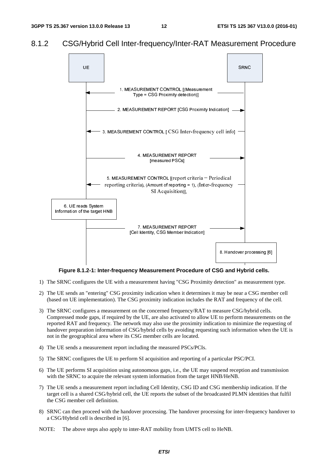#### 8.1.2 CSG/Hybrid Cell Inter-frequency/Inter-RAT Measurement Procedure



**Figure 8.1.2-1: Inter-frequency Measurement Procedure of CSG and Hybrid cells.** 

- 1) The SRNC configures the UE with a measurement having "CSG Proximity detection" as measurement type.
- 2) The UE sends an "entering" CSG proximity indication when it determines it may be near a CSG member cell (based on UE implementation). The CSG proximity indication includes the RAT and frequency of the cell.
- 3) The SRNC configures a measurement on the concerned frequency/RAT to measure CSG/hybrid cells. Compressed mode gaps, if required by the UE, are also activated to allow UE to perform measurements on the reported RAT and frequency. The network may also use the proximity indication to minimize the requesting of handover preparation information of CSG/hybrid cells by avoiding requesting such information when the UE is not in the geographical area where its CSG member cells are located.
- 4) The UE sends a measurement report including the measured PSCs/PCIs.
- 5) The SRNC configures the UE to perform SI acquisition and reporting of a particular PSC/PCI.
- 6) The UE performs SI acquisition using autonomous gaps, i.e., the UE may suspend reception and transmission with the SRNC to acquire the relevant system information from the target HNB/HeNB.
- 7) The UE sends a measurement report including Cell Identity, CSG ID and CSG membership indication. If the target cell is a shared CSG/hybrid cell, the UE reports the subset of the broadcasted PLMN identities that fulfil the CSG member cell definition.
- 8) SRNC can then proceed with the handover processing. The handover processing for inter-frequency handover to a CSG/Hybrid cell is described in [6].
- NOTE: The above steps also apply to inter-RAT mobility from UMTS cell to HeNB.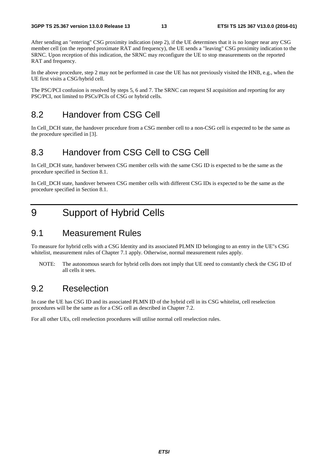After sending an "entering" CSG proximity indication (step 2), if the UE determines that it is no longer near any CSG member cell (on the reported proximate RAT and frequency), the UE sends a "leaving" CSG proximity indication to the SRNC. Upon reception of this indication, the SRNC may reconfigure the UE to stop measurements on the reported RAT and frequency.

In the above procedure, step 2 may not be performed in case the UE has not previously visited the HNB, e.g., when the UE first visits a CSG/hybrid cell.

The PSC/PCI confusion is resolved by steps 5, 6 and 7. The SRNC can request SI acquisition and reporting for any PSC/PCI, not limited to PSCs/PCIs of CSG or hybrid cells.

#### 8.2 Handover from CSG Cell

In Cell\_DCH state, the handover procedure from a CSG member cell to a non-CSG cell is expected to be the same as the procedure specified in [3].

### 8.3 Handover from CSG Cell to CSG Cell

In Cell\_DCH state, handover between CSG member cells with the same CSG ID is expected to be the same as the procedure specified in Section 8.1.

In Cell\_DCH state, handover between CSG member cells with different CSG IDs is expected to be the same as the procedure specified in Section 8.1.

### 9 Support of Hybrid Cells

#### 9.1 Measurement Rules

To measure for hybrid cells with a CSG Identity and its associated PLMN ID belonging to an entry in the UE"s CSG whitelist, measurement rules of Chapter 7.1 apply. Otherwise, normal measurement rules apply.

NOTE: The autonomous search for hybrid cells does not imply that UE need to constantly check the CSG ID of all cells it sees.

#### 9.2 Reselection

In case the UE has CSG ID and its associated PLMN ID of the hybrid cell in its CSG whitelist, cell reselection procedures will be the same as for a CSG cell as described in Chapter 7.2.

For all other UEs, cell reselection procedures will utilise normal cell reselection rules.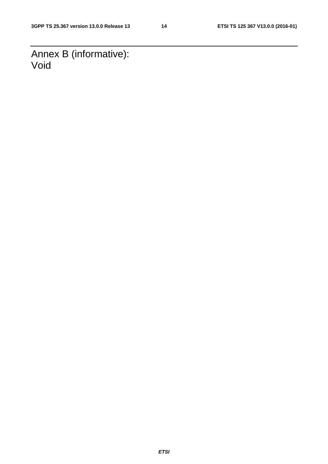Annex B (informative): Void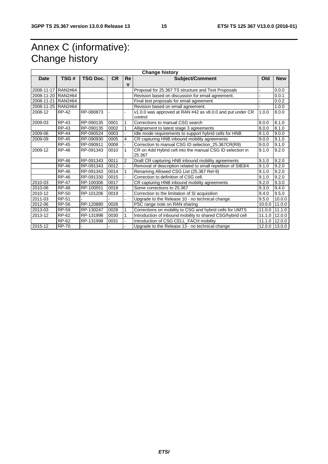# Annex C (informative): Change history

| <b>Change history</b> |                |                 |           |             |                                                                     |         |               |  |
|-----------------------|----------------|-----------------|-----------|-------------|---------------------------------------------------------------------|---------|---------------|--|
| Date                  | TSG#           | <b>TSG Doc.</b> | <b>CR</b> | Re          | <b>Subject/Comment</b>                                              | Old     | <b>New</b>    |  |
|                       |                |                 |           | $\mathbf v$ |                                                                     |         |               |  |
| 2008-11-17 RAN2#64    |                |                 |           |             | Proposal for 25.367 TS structure and Text Proposals                 |         | 0.0.0         |  |
| 2008-11-20            | <b>RAN2#64</b> |                 |           |             | Revision based on discussion for email agreement.                   |         | 0.0.1         |  |
| 2008-11-21            | <b>RAN2#64</b> |                 |           |             | Final text proposals for email agreement.                           |         | 0.0.2         |  |
| 2008-11-25 RAN2#64    |                |                 |           |             | Revision based on email agreement.                                  |         | 1.0.0         |  |
| 2008-12               | <b>RP-42</b>   | RP-080873       |           |             | v1.0.0 was approved at RAN #42 as v8.0.0 and put under CR           | 1.0.0   | 8.0.0         |  |
|                       |                |                 |           |             | control                                                             |         |               |  |
| 2009-03               | <b>RP-43</b>   | RP-090135       | 0001      | 1           | Corrections to manual CSG search                                    | 8.0.0   | 8.1.0         |  |
|                       | <b>RP-43</b>   | RP-090135       | 0002      | 1           | Allignement to latest stage 3 agreements                            | 8.0.0   | 8.1.0         |  |
| 2009-06               | <b>RP-44</b>   | RP-090524       | 0003      |             | Idle mode requirements to support hybrid cells for HNB              | 8.1.0   | 9.0.0         |  |
| 2009-09               | <b>RP-45</b>   | RP-090930       | 0005      | 4           | CR capturing HNB inbound mobility agreements                        | 9.0.0   | 9.1.0         |  |
|                       | RP-45          | RP-090911       | 0008      |             | Correction to manual CSG ID selection 25.367CR(R9)                  | 9.0.0   | 9.1.0         |  |
| 2009-12               | <b>RP-46</b>   | RP-091343       | 0010      | 1           | CR on Add Hybrid cell into the manual CSG ID selection in<br>25.367 | 9.1.0   | 9.2.0         |  |
|                       | <b>RP-46</b>   | RP-091343       | 0011      | 2           | Draft CR capturing HNB inbound mobility agreements                  | 9.1.0   | 9.2.0         |  |
|                       | <b>RP-46</b>   | RP-091343       | 0012      |             | Removal of description related to small repetition of SIB3/4        | 9.1.0   | 9.2.0         |  |
|                       | <b>RP-46</b>   | RP-091343       | 0014      |             | Renaming Allowed CSG List (25.367 Rel-9)                            | 9.1.0   | 9.2.0         |  |
|                       | <b>RP-46</b>   | RP-091330       | 0015      |             | Correction to definition of CSG cell.                               | 9.1.0   | 9.2.0         |  |
| 2010-03               | <b>RP-47</b>   | RP-100306       | 0017      |             | CR capturing HNB inbound mobility agreements                        | 9.2.0   | 9.3.0         |  |
| 2010-06               | <b>RP-48</b>   | RP-100551       | 0018      |             | Some corrections to 25.367                                          | 9.3.0   | 9.4.0         |  |
| 2010-12               | <b>RP-50</b>   | RP-101206       | 0019      |             | Correction to the limitation of SI acquisition                      | 9.4.0   | 9.5.0         |  |
| 2011-03               | <b>RP-51</b>   |                 |           |             | Upgrade to the Release 10 - no technical change                     | 9.5.0   | 10.0.0        |  |
| 2012-06               | RP-56          | RP-120880       | 0026      |             | PSC range note on RAN sharing                                       | 10.0.01 | 11.0.0        |  |
| 2013-03               | <b>RP-59</b>   | RP-130247       | 0028      | 1           | Corrections on mobility to CSG and hybrid cells for UMTS            |         | 11.0.0 11.1.0 |  |
| 2013-12               | RP-62          | RP-131998       | 0030      | 1           | Introduction of inbound mobility to shared CSG/hybrid cell          | 11.1.0  | 12.0.0        |  |
|                       | RP-62          | RP-131998       | 0031      |             | Introduction of CSG CELL_FACH mobility                              | 11.1.0  | 12.0.0        |  |
| 2015-12               | <b>RP-70</b>   |                 |           |             | Upgrade to the Release 13 - no technical change                     | 12.0.0  | 13.0.0        |  |